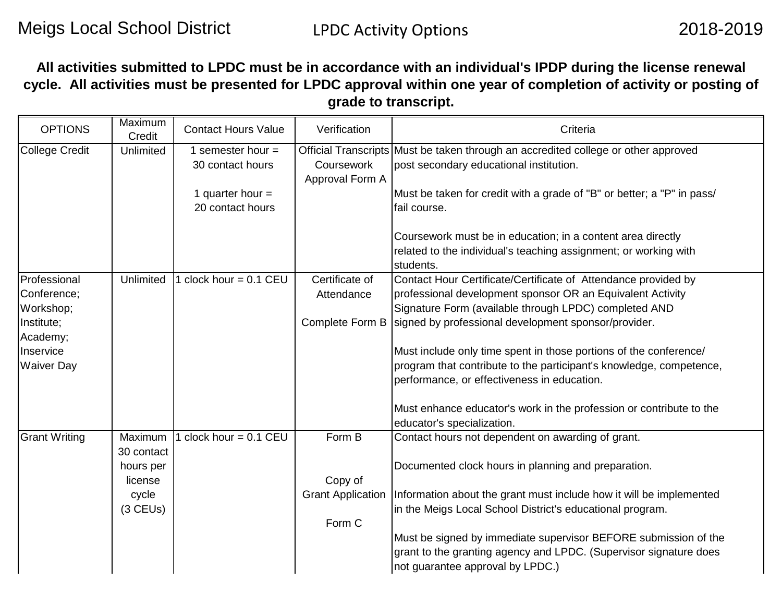### **All activities submitted to LPDC must be in accordance with an individual's IPDP during the license renewal cycle. All activities must be presented for LPDC approval within one year of completion of activity or posting of grade to transcript.**

| <b>OPTIONS</b>                           | Maximum<br>Credit     | <b>Contact Hours Value</b>              | Verification                       | Criteria                                                                                                                                                                                |
|------------------------------------------|-----------------------|-----------------------------------------|------------------------------------|-----------------------------------------------------------------------------------------------------------------------------------------------------------------------------------------|
| <b>College Credit</b>                    | Unlimited             | 1 semester hour $=$<br>30 contact hours | Coursework<br>Approval Form A      | Official Transcripts Must be taken through an accredited college or other approved<br>post secondary educational institution.                                                           |
|                                          |                       | 1 quarter hour $=$<br>20 contact hours  |                                    | Must be taken for credit with a grade of "B" or better; a "P" in pass/<br>fail course.                                                                                                  |
|                                          |                       |                                         |                                    | Coursework must be in education; in a content area directly<br>related to the individual's teaching assignment; or working with<br>students.                                            |
| Professional<br>Conference;<br>Workshop; | Unlimited             | clock hour = $0.1$ CEU                  | Certificate of<br>Attendance       | Contact Hour Certificate/Certificate of Attendance provided by<br>professional development sponsor OR an Equivalent Activity<br>Signature Form (available through LPDC) completed AND   |
| Institute;<br>Academy;                   |                       |                                         | Complete Form B                    | signed by professional development sponsor/provider.                                                                                                                                    |
| Inservice<br><b>Waiver Day</b>           |                       |                                         |                                    | Must include only time spent in those portions of the conference/<br>program that contribute to the participant's knowledge, competence,<br>performance, or effectiveness in education. |
|                                          |                       |                                         |                                    | Must enhance educator's work in the profession or contribute to the<br>educator's specialization.                                                                                       |
| <b>Grant Writing</b>                     | Maximum<br>30 contact | clock hour = $0.1$ CEU                  | Form B                             | Contact hours not dependent on awarding of grant.                                                                                                                                       |
|                                          | hours per<br>license  |                                         | Copy of                            | Documented clock hours in planning and preparation.                                                                                                                                     |
|                                          | cycle<br>$(3$ CEUs)   |                                         | <b>Grant Application</b><br>Form C | Information about the grant must include how it will be implemented<br>in the Meigs Local School District's educational program.                                                        |
|                                          |                       |                                         |                                    | Must be signed by immediate supervisor BEFORE submission of the<br>grant to the granting agency and LPDC. (Supervisor signature does<br>not guarantee approval by LPDC.)                |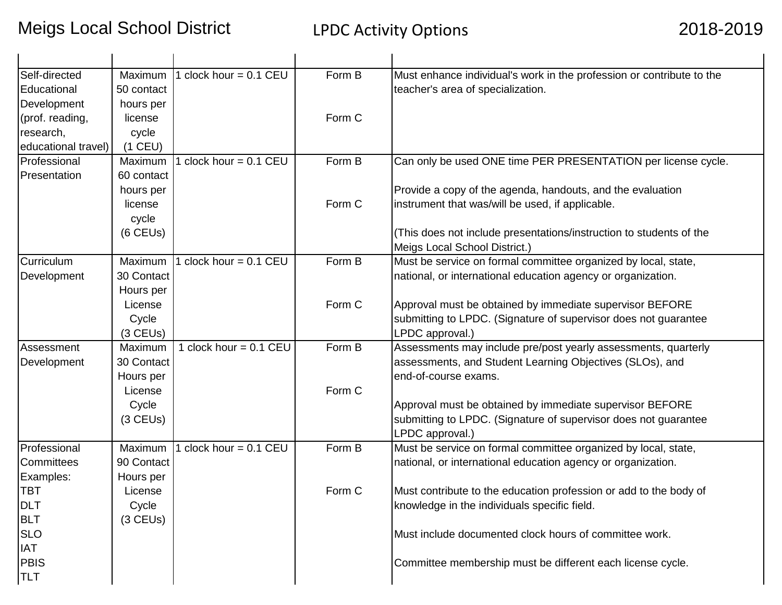# Meigs Local School District **LIPDC Activity Options** 2018-2019

| Self-directed       | Maximum    | clock hour = $0.1$ CEU   | Form B | Must enhance individual's work in the profession or contribute to the |
|---------------------|------------|--------------------------|--------|-----------------------------------------------------------------------|
| Educational         | 50 contact |                          |        | teacher's area of specialization.                                     |
| Development         | hours per  |                          |        |                                                                       |
| (prof. reading,     | license    |                          | Form C |                                                                       |
| research,           | cycle      |                          |        |                                                                       |
| educational travel) | $(1$ CEU)  |                          |        |                                                                       |
| Professional        | Maximum    | clock hour = $0.1$ CEU   | Form B | Can only be used ONE time PER PRESENTATION per license cycle.         |
| Presentation        | 60 contact |                          |        |                                                                       |
|                     | hours per  |                          |        | Provide a copy of the agenda, handouts, and the evaluation            |
|                     | license    |                          | Form C | instrument that was/will be used, if applicable.                      |
|                     | cycle      |                          |        |                                                                       |
|                     | $(6$ CEUs) |                          |        | (This does not include presentations/instruction to students of the   |
|                     |            |                          |        | Meigs Local School District.)                                         |
| Curriculum          | Maximum    | clock hour = $0.1$ CEU   | Form B | Must be service on formal committee organized by local, state,        |
| Development         | 30 Contact |                          |        | national, or international education agency or organization.          |
|                     | Hours per  |                          |        |                                                                       |
|                     | License    |                          | Form C | Approval must be obtained by immediate supervisor BEFORE              |
|                     | Cycle      |                          |        | submitting to LPDC. (Signature of supervisor does not guarantee       |
|                     | $(3$ CEUs) |                          |        | LPDC approval.)                                                       |
| Assessment          | Maximum    | 1 clock hour = $0.1$ CEU | Form B | Assessments may include pre/post yearly assessments, quarterly        |
| Development         | 30 Contact |                          |        | assessments, and Student Learning Objectives (SLOs), and              |
|                     | Hours per  |                          |        | end-of-course exams.                                                  |
|                     | License    |                          | Form C |                                                                       |
|                     | Cycle      |                          |        | Approval must be obtained by immediate supervisor BEFORE              |
|                     | $(3$ CEUs) |                          |        | submitting to LPDC. (Signature of supervisor does not guarantee       |
|                     |            |                          |        | LPDC approval.)                                                       |
| Professional        | Maximum    | clock hour = $0.1$ CEU   | Form B | Must be service on formal committee organized by local, state,        |
| Committees          | 90 Contact |                          |        | national, or international education agency or organization.          |
| Examples:           | Hours per  |                          |        |                                                                       |
| <b>TBT</b>          | License    |                          | Form C | Must contribute to the education profession or add to the body of     |
| DLT                 | Cycle      |                          |        | knowledge in the individuals specific field.                          |
| <b>BLT</b>          | $(3$ CEUs) |                          |        |                                                                       |
| <b>SLO</b>          |            |                          |        | Must include documented clock hours of committee work.                |
| <b>IAT</b>          |            |                          |        |                                                                       |
| <b>PBIS</b>         |            |                          |        | Committee membership must be different each license cycle.            |
| <b>TLT</b>          |            |                          |        |                                                                       |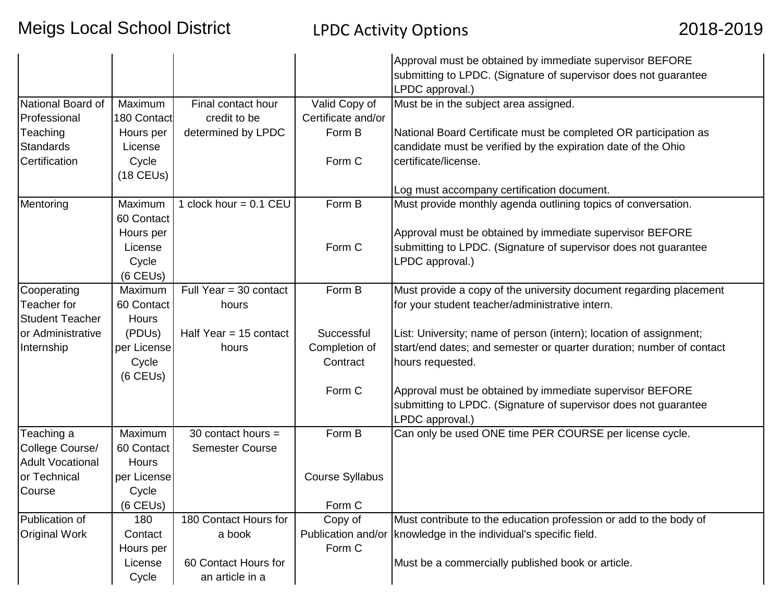|                         |              |                          |                        | Approval must be obtained by immediate supervisor BEFORE             |
|-------------------------|--------------|--------------------------|------------------------|----------------------------------------------------------------------|
|                         |              |                          |                        | submitting to LPDC. (Signature of supervisor does not guarantee      |
|                         |              |                          |                        | LPDC approval.)                                                      |
| National Board of       | Maximum      | Final contact hour       | Valid Copy of          | Must be in the subject area assigned.                                |
| Professional            | 180 Contact  | credit to be             | Certificate and/or     |                                                                      |
| Teaching                | Hours per    | determined by LPDC       | Form B                 | National Board Certificate must be completed OR participation as     |
| <b>Standards</b>        | License      |                          |                        | candidate must be verified by the expiration date of the Ohio        |
| Certification           | Cycle        |                          | Form C                 | certificate/license.                                                 |
|                         | $(18$ CEUs)  |                          |                        |                                                                      |
|                         |              |                          |                        | Log must accompany certification document.                           |
| Mentoring               | Maximum      | 1 clock hour = $0.1$ CEU | Form B                 | Must provide monthly agenda outlining topics of conversation.        |
|                         | 60 Contact   |                          |                        |                                                                      |
|                         | Hours per    |                          |                        | Approval must be obtained by immediate supervisor BEFORE             |
|                         | License      |                          | Form C                 | submitting to LPDC. (Signature of supervisor does not guarantee      |
|                         | Cycle        |                          |                        | LPDC approval.)                                                      |
|                         | $(6$ CEUs)   |                          |                        |                                                                      |
| Cooperating             | Maximum      | Full Year = $30$ contact | Form B                 | Must provide a copy of the university document regarding placement   |
| Teacher for             | 60 Contact   | hours                    |                        | for your student teacher/administrative intern.                      |
| <b>Student Teacher</b>  | Hours        |                          |                        |                                                                      |
| or Administrative       | (PDUs)       | Half Year = $15$ contact | Successful             | List: University; name of person (intern); location of assignment;   |
| Internship              | per License  | hours                    | Completion of          | start/end dates; and semester or quarter duration; number of contact |
|                         | Cycle        |                          | Contract               | hours requested.                                                     |
|                         | $(6$ CEUs)   |                          |                        |                                                                      |
|                         |              |                          | Form C                 | Approval must be obtained by immediate supervisor BEFORE             |
|                         |              |                          |                        | submitting to LPDC. (Signature of supervisor does not guarantee      |
|                         |              |                          |                        | LPDC approval.)                                                      |
| Teaching a              | Maximum      | 30 contact hours $=$     | Form B                 | Can only be used ONE time PER COURSE per license cycle.              |
| College Course/         | 60 Contact   | <b>Semester Course</b>   |                        |                                                                      |
| <b>Adult Vocational</b> | <b>Hours</b> |                          |                        |                                                                      |
| or Technical            | per License  |                          | <b>Course Syllabus</b> |                                                                      |
| Course                  | Cycle        |                          |                        |                                                                      |
|                         | $(6$ CEUs)   |                          | Form C                 |                                                                      |
| Publication of          | 180          | 180 Contact Hours for    | Copy of                | Must contribute to the education profession or add to the body of    |
| <b>Original Work</b>    | Contact      | a book                   | Publication and/or     | knowledge in the individual's specific field.                        |
|                         | Hours per    |                          | Form C                 |                                                                      |
|                         | License      | 60 Contact Hours for     |                        | Must be a commercially published book or article.                    |
|                         | Cycle        | an article in a          |                        |                                                                      |